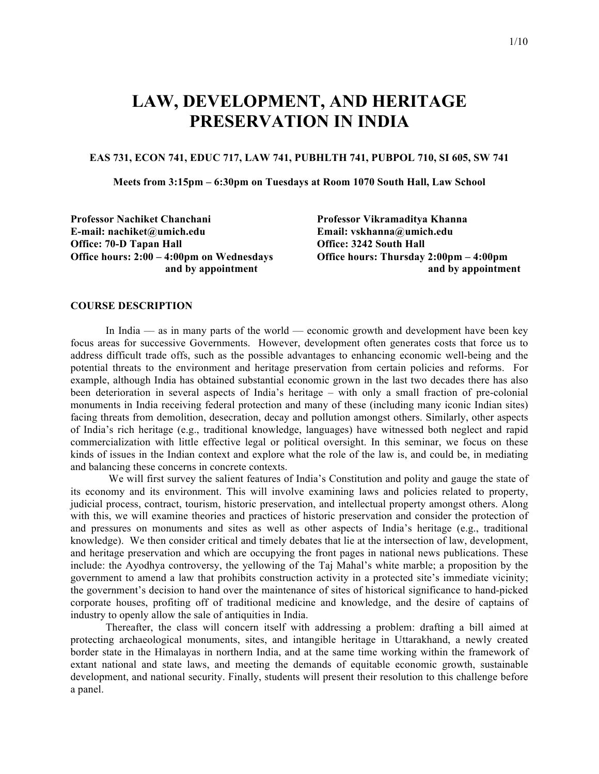# **LAW, DEVELOPMENT, AND HERITAGE PRESERVATION IN INDIA**

#### **EAS 731, ECON 741, EDUC 717, LAW 741, PUBHLTH 741, PUBPOL 710, SI 605, SW 741**

**Meets from 3:15pm – 6:30pm on Tuesdays at Room 1070 South Hall, Law School**

**Professor Nachiket Chanchani Professor Vikramaditya Khanna E-mail: nachiket@umich.edu Email: vskhanna@umich.edu Office: 70-D Tapan Hall Office: 3242 South Hall Office hours: 2:00 – 4:00pm on Wednesdays Office hours: Thursday 2:00pm – 4:00pm**

**and by appointment** and by appointment

#### **COURSE DESCRIPTION**

In India –– as in many parts of the world –– economic growth and development have been key focus areas for successive Governments. However, development often generates costs that force us to address difficult trade offs, such as the possible advantages to enhancing economic well-being and the potential threats to the environment and heritage preservation from certain policies and reforms. For example, although India has obtained substantial economic grown in the last two decades there has also been deterioration in several aspects of India's heritage – with only a small fraction of pre-colonial monuments in India receiving federal protection and many of these (including many iconic Indian sites) facing threats from demolition, desecration, decay and pollution amongst others. Similarly, other aspects of India's rich heritage (e.g., traditional knowledge, languages) have witnessed both neglect and rapid commercialization with little effective legal or political oversight. In this seminar, we focus on these kinds of issues in the Indian context and explore what the role of the law is, and could be, in mediating and balancing these concerns in concrete contexts.

We will first survey the salient features of India's Constitution and polity and gauge the state of its economy and its environment. This will involve examining laws and policies related to property, judicial process, contract, tourism, historic preservation, and intellectual property amongst others. Along with this, we will examine theories and practices of historic preservation and consider the protection of and pressures on monuments and sites as well as other aspects of India's heritage (e.g., traditional knowledge). We then consider critical and timely debates that lie at the intersection of law, development, and heritage preservation and which are occupying the front pages in national news publications. These include: the Ayodhya controversy, the yellowing of the Taj Mahal's white marble; a proposition by the government to amend a law that prohibits construction activity in a protected site's immediate vicinity; the government's decision to hand over the maintenance of sites of historical significance to hand-picked corporate houses, profiting off of traditional medicine and knowledge, and the desire of captains of industry to openly allow the sale of antiquities in India.

Thereafter, the class will concern itself with addressing a problem: drafting a bill aimed at protecting archaeological monuments, sites, and intangible heritage in Uttarakhand, a newly created border state in the Himalayas in northern India, and at the same time working within the framework of extant national and state laws, and meeting the demands of equitable economic growth, sustainable development, and national security. Finally, students will present their resolution to this challenge before a panel.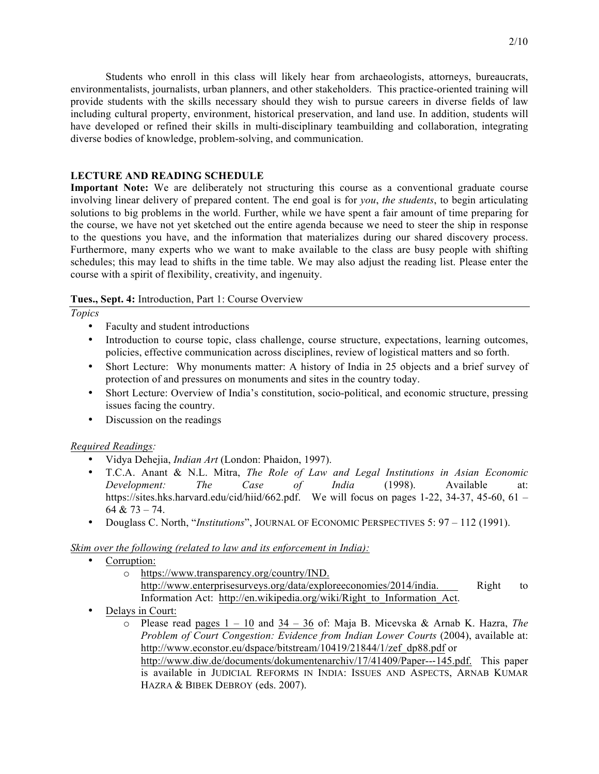Students who enroll in this class will likely hear from archaeologists, attorneys, bureaucrats, environmentalists, journalists, urban planners, and other stakeholders. This practice-oriented training will provide students with the skills necessary should they wish to pursue careers in diverse fields of law including cultural property, environment, historical preservation, and land use. In addition, students will have developed or refined their skills in multi-disciplinary teambuilding and collaboration, integrating diverse bodies of knowledge, problem-solving, and communication.

#### **LECTURE AND READING SCHEDULE**

**Important Note:** We are deliberately not structuring this course as a conventional graduate course involving linear delivery of prepared content. The end goal is for *you*, *the students*, to begin articulating solutions to big problems in the world. Further, while we have spent a fair amount of time preparing for the course, we have not yet sketched out the entire agenda because we need to steer the ship in response to the questions you have, and the information that materializes during our shared discovery process. Furthermore, many experts who we want to make available to the class are busy people with shifting schedules; this may lead to shifts in the time table. We may also adjust the reading list. Please enter the course with a spirit of flexibility, creativity, and ingenuity.

#### **Tues., Sept. 4:** Introduction, Part 1: Course Overview

*Topics*

- Faculty and student introductions
- Introduction to course topic, class challenge, course structure, expectations, learning outcomes, policies, effective communication across disciplines, review of logistical matters and so forth.
- Short Lecture: Why monuments matter: A history of India in 25 objects and a brief survey of protection of and pressures on monuments and sites in the country today.
- Short Lecture: Overview of India's constitution, socio-political, and economic structure, pressing issues facing the country.
- Discussion on the readings

### *Required Readings:*

- Vidya Dehejia, *Indian Art* (London: Phaidon, 1997).
- T.C.A. Anant & N.L. Mitra, *The Role of Law and Legal Institutions in Asian Economic Development: The Case of India* (1998). Available at: https://sites.hks.harvard.edu/cid/hiid/662.pdf. We will focus on pages 1-22, 34-37, 45-60, 61 – 64 & 73 – 74.
- Douglass C. North, "*Institutions*", JOURNAL OF ECONOMIC PERSPECTIVES 5: 97 112 (1991).

### *Skim over the following (related to law and its enforcement in India):*

- Corruption:
	- o https://www.transparency.org/country/IND. http://www.enterprisesurveys.org/data/exploreeconomies/2014/india. Right to Information Act: http://en.wikipedia.org/wiki/Right\_to\_Information\_Act.
- Delays in Court:
	- o Please read pages 1 10 and 34 36 of: Maja B. Micevska & Arnab K. Hazra, *The Problem of Court Congestion: Evidence from Indian Lower Courts* (2004), available at: http://www.econstor.eu/dspace/bitstream/10419/21844/1/zef\_dp88.pdf or http://www.diw.de/documents/dokumentenarchiv/17/41409/Paper---145.pdf. This paper is available in JUDICIAL REFORMS IN INDIA: ISSUES AND ASPECTS, ARNAB KUMAR HAZRA & BIBEK DEBROY (eds. 2007).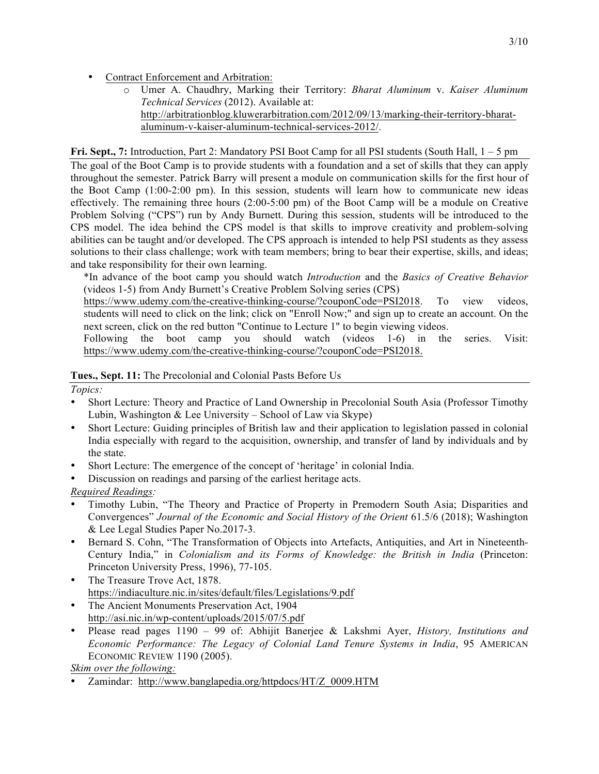- Contract Enforcement and Arbitration:
	- o Umer A. Chaudhry, Marking their Territory: *Bharat Aluminum* v. *Kaiser Aluminum Technical Services* (2012). Available at: http://arbitrationblog.kluwerarbitration.com/2012/09/13/marking-their-territory-bharataluminum-v-kaiser-aluminum-technical-services-2012/.

## **Fri. Sept., 7:** Introduction, Part 2: Mandatory PSI Boot Camp for all PSI students (South Hall, 1 – 5 pm

The goal of the Boot Camp is to provide students with a foundation and a set of skills that they can apply throughout the semester. Patrick Barry will present a module on communication skills for the first hour of the Boot Camp  $(1:00-2:00)$  pm). In this session, students will learn how to communicate new ideas effectively. The remaining three hours (2:00-5:00 pm) of the Boot Camp will be a module on Creative Problem Solving ("CPS") run by Andy Burnett. During this session, students will be introduced to the CPS model. The idea behind the CPS model is that skills to improve creativity and problem-solving abilities can be taught and/or developed. The CPS approach is intended to help PSI students as they assess solutions to their class challenge; work with team members; bring to bear their expertise, skills, and ideas; and take responsibility for their own learning.

\*In advance of the boot camp you should watch *Introduction* and the *Basics of Creative Behavior* (videos 1-5) from Andy Burnett's Creative Problem Solving series (CPS)

https://www.udemy.com/the-creative-thinking-course/?couponCode=PSI2018. To view videos, students will need to click on the link; click on "Enroll Now;" and sign up to create an account. On the next screen, click on the red button "Continue to Lecture 1" to begin viewing videos.

Following the boot camp you should watch (videos 1-6) in the series. Visit: https://www.udemy.com/the-creative-thinking-course/?couponCode=PSI2018.

## **Tues., Sept. 11:** The Precolonial and Colonial Pasts Before Us

*Topics:*

- Short Lecture: Theory and Practice of Land Ownership in Precolonial South Asia (Professor Timothy Lubin, Washington & Lee University – School of Law via Skype)
- Short Lecture: Guiding principles of British law and their application to legislation passed in colonial India especially with regard to the acquisition, ownership, and transfer of land by individuals and by the state.
- Short Lecture: The emergence of the concept of 'heritage' in colonial India.
- Discussion on readings and parsing of the earliest heritage acts.

*Required Readings:*

- Timothy Lubin, "The Theory and Practice of Property in Premodern South Asia; Disparities and Convergences" *Journal of the Economic and Social History of the Orient* 61.5/6 (2018); Washington & Lee Legal Studies Paper No.2017-3.
- Bernard S. Cohn, "The Transformation of Objects into Artefacts, Antiquities, and Art in Nineteenth-Century India," in *Colonialism and its Forms of Knowledge: the British in India* (Princeton: Princeton University Press, 1996), 77-105.
- The Treasure Trove Act, 1878. https://indiaculture.nic.in/sites/default/files/Legislations/9.pdf
- The Ancient Monuments Preservation Act, 1904 http://asi.nic.in/wp-content/uploads/2015/07/5.pdf
- Please read pages 1190 99 of: Abhijit Banerjee & Lakshmi Ayer, *History, Institutions and Economic Performance: The Legacy of Colonial Land Tenure Systems in India*, 95 AMERICAN ECONOMIC REVIEW 1190 (2005).

*Skim over the following:*

• Zamindar: http://www.banglapedia.org/httpdocs/HT/Z\_0009.HTM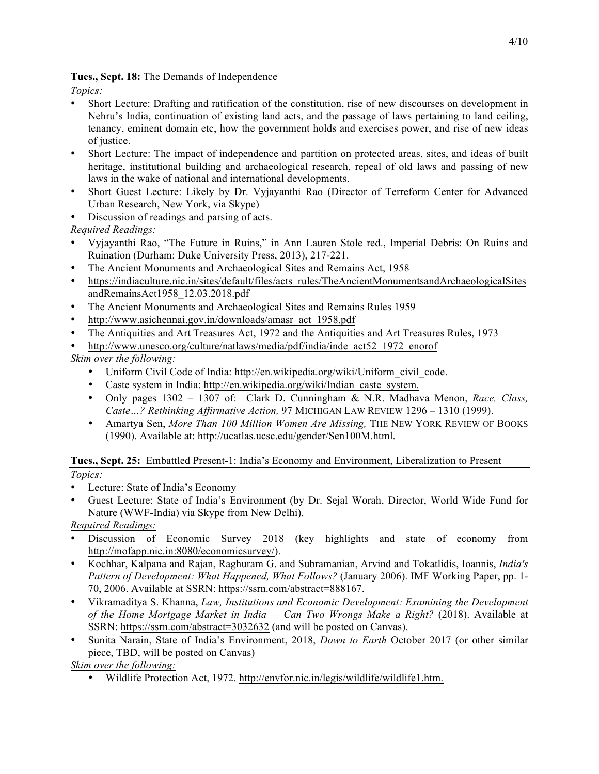## **Tues., Sept. 18:** The Demands of Independence

*Topics:* 

- Short Lecture: Drafting and ratification of the constitution, rise of new discourses on development in Nehru's India, continuation of existing land acts, and the passage of laws pertaining to land ceiling, tenancy, eminent domain etc, how the government holds and exercises power, and rise of new ideas of justice.
- Short Lecture: The impact of independence and partition on protected areas, sites, and ideas of built heritage, institutional building and archaeological research, repeal of old laws and passing of new laws in the wake of national and international developments.
- Short Guest Lecture: Likely by Dr. Vyjayanthi Rao (Director of Terreform Center for Advanced Urban Research, New York, via Skype)
- Discussion of readings and parsing of acts.

*Required Readings:*

- Vyjayanthi Rao, "The Future in Ruins," in Ann Lauren Stole red., Imperial Debris: On Ruins and Ruination (Durham: Duke University Press, 2013), 217-221.
- The Ancient Monuments and Archaeological Sites and Remains Act, 1958
- https://indiaculture.nic.in/sites/default/files/acts\_rules/TheAncientMonumentsandArchaeologicalSites andRemainsAct1958\_12.03.2018.pdf
- The Ancient Monuments and Archaeological Sites and Remains Rules 1959
- http://www.asichennai.gov.in/downloads/amasr\_act\_1958.pdf
- The Antiquities and Art Treasures Act, 1972 and the Antiquities and Art Treasures Rules, 1973
- http://www.unesco.org/culture/natlaws/media/pdf/india/inde\_act52\_1972\_enorof

*Skim over the following:* 

- Uniform Civil Code of India: http://en.wikipedia.org/wiki/Uniform\_civil\_code.
- Caste system in India: http://en.wikipedia.org/wiki/Indian\_caste\_system.
- Only pages 1302 1307 of: Clark D. Cunningham & N.R. Madhava Menon, *Race, Class, Caste…? Rethinking Affirmative Action,* 97 MICHIGAN LAW REVIEW 1296 – 1310 (1999).
- Amartya Sen, *More Than 100 Million Women Are Missing,* THE NEW YORK REVIEW OF BOOKS (1990). Available at: http://ucatlas.ucsc.edu/gender/Sen100M.html.

**Tues., Sept. 25:** Embattled Present-1: India's Economy and Environment, Liberalization to Present

- *Topics:*
- Lecture: State of India's Economy
- Guest Lecture: State of India's Environment (by Dr. Sejal Worah, Director, World Wide Fund for Nature (WWF-India) via Skype from New Delhi).

*Required Readings:*

- Discussion of Economic Survey 2018 (key highlights and state of economy from http://mofapp.nic.in:8080/economicsurvey/).
- Kochhar, Kalpana and Rajan, Raghuram G. and Subramanian, Arvind and Tokatlidis, Ioannis, *India's Pattern of Development: What Happened, What Follows?* (January 2006). IMF Working Paper, pp. 1- 70, 2006. Available at SSRN: https://ssrn.com/abstract=888167.
- Vikramaditya S. Khanna, *Law, Institutions and Economic Development: Examining the Development of the Home Mortgage Market in India* ‐‑ *Can Two Wrongs Make a Right?* (2018). Available at SSRN: https://ssrn.com/abstract=3032632 (and will be posted on Canvas).
- Sunita Narain, State of India's Environment, 2018, *Down to Earth* October 2017 (or other similar piece, TBD, will be posted on Canvas)

*Skim over the following:*

• Wildlife Protection Act, 1972. http://envfor.nic.in/legis/wildlife/wildlife1.htm.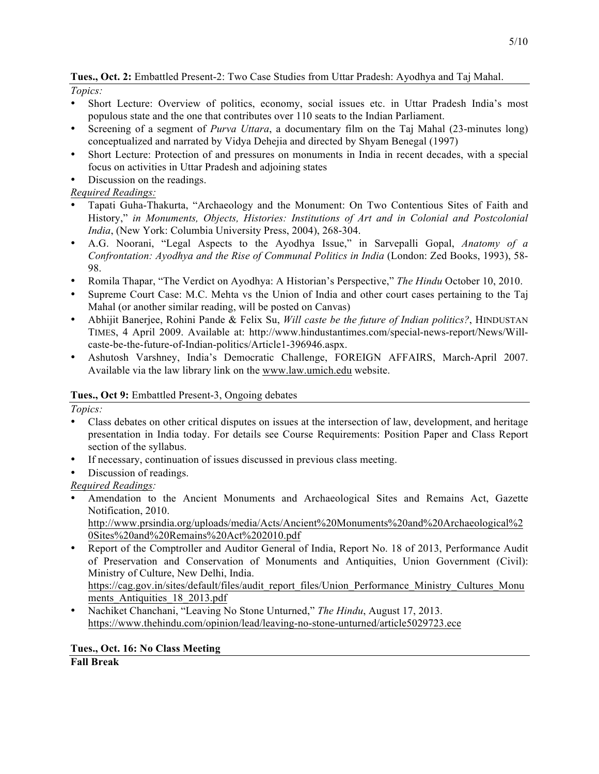**Tues., Oct. 2:** Embattled Present-2: Two Case Studies from Uttar Pradesh: Ayodhya and Taj Mahal.

*Topics:*

- Short Lecture: Overview of politics, economy, social issues etc. in Uttar Pradesh India's most populous state and the one that contributes over 110 seats to the Indian Parliament.
- Screening of a segment of *Purva Uttara*, a documentary film on the Taj Mahal (23-minutes long) conceptualized and narrated by Vidya Dehejia and directed by Shyam Benegal (1997)
- Short Lecture: Protection of and pressures on monuments in India in recent decades, with a special focus on activities in Uttar Pradesh and adjoining states
- Discussion on the readings.

# *Required Readings:*

- Tapati Guha-Thakurta, "Archaeology and the Monument: On Two Contentious Sites of Faith and History," *in Monuments, Objects, Histories: Institutions of Art and in Colonial and Postcolonial India*, (New York: Columbia University Press, 2004), 268-304.
- A.G. Noorani, "Legal Aspects to the Ayodhya Issue," in Sarvepalli Gopal, *Anatomy of a Confrontation: Ayodhya and the Rise of Communal Politics in India* (London: Zed Books, 1993), 58- 98.
- Romila Thapar, "The Verdict on Ayodhya: A Historian's Perspective," *The Hindu* October 10, 2010.
- Supreme Court Case: M.C. Mehta vs the Union of India and other court cases pertaining to the Taj Mahal (or another similar reading, will be posted on Canvas)
- Abhijit Banerjee, Rohini Pande & Felix Su, *Will caste be the future of Indian politics?*, HINDUSTAN TIMES, 4 April 2009. Available at: http://www.hindustantimes.com/special-news-report/News/Willcaste-be-the-future-of-Indian-politics/Article1-396946.aspx.
- Ashutosh Varshney, India's Democratic Challenge, FOREIGN AFFAIRS, March-April 2007. Available via the law library link on the www.law.umich.edu website.

# **Tues., Oct 9:** Embattled Present-3, Ongoing debates

*Topics:*

- Class debates on other critical disputes on issues at the intersection of law, development, and heritage presentation in India today. For details see Course Requirements: Position Paper and Class Report section of the syllabus.
- If necessary, continuation of issues discussed in previous class meeting.
- Discussion of readings.

*Required Readings:* 

• Amendation to the Ancient Monuments and Archaeological Sites and Remains Act, Gazette Notification, 2010.

http://www.prsindia.org/uploads/media/Acts/Ancient%20Monuments%20and%20Archaeological%2 0Sites%20and%20Remains%20Act%202010.pdf

- Report of the Comptroller and Auditor General of India, Report No. 18 of 2013, Performance Audit of Preservation and Conservation of Monuments and Antiquities, Union Government (Civil): Ministry of Culture, New Delhi, India. https://cag.gov.in/sites/default/files/audit\_report\_files/Union\_Performance\_Ministry\_Cultures\_Monu
- ments Antiquities 18 2013.pdf • Nachiket Chanchani, "Leaving No Stone Unturned," *The Hindu*, August 17, 2013. https://www.thehindu.com/opinion/lead/leaving-no-stone-unturned/article5029723.ece

# **Tues., Oct. 16: No Class Meeting**

**Fall Break**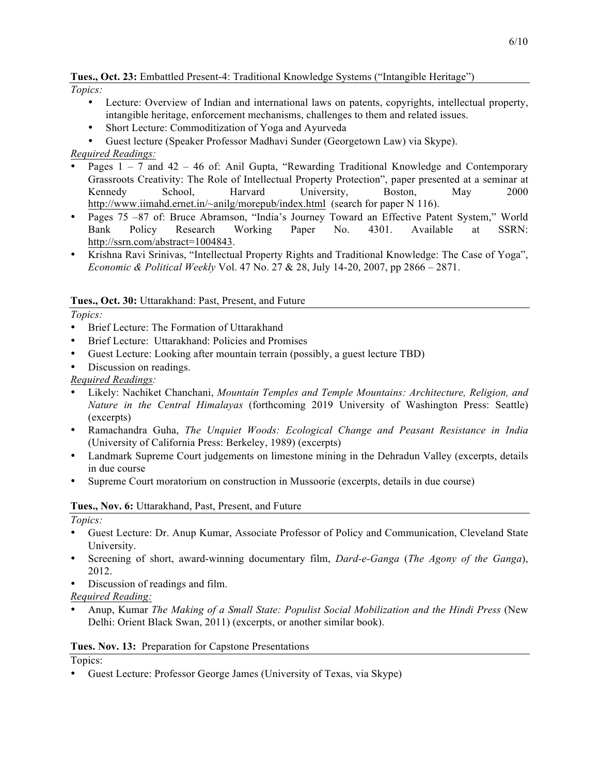# **Tues., Oct. 23:** Embattled Present-4: Traditional Knowledge Systems ("Intangible Heritage")

*Topics:*

- Lecture: Overview of Indian and international laws on patents, copyrights, intellectual property, intangible heritage, enforcement mechanisms, challenges to them and related issues.
- Short Lecture: Commoditization of Yoga and Ayurveda
- Guest lecture (Speaker Professor Madhavi Sunder (Georgetown Law) via Skype).

## *Required Readings:*

- Pages  $1 7$  and  $42 46$  of: Anil Gupta, "Rewarding Traditional Knowledge and Contemporary Grassroots Creativity: The Role of Intellectual Property Protection", paper presented at a seminar at Kennedy School, Harvard University, Boston, May 2000 http://www.iimahd.ernet.in/~anilg/morepub/index.html (search for paper N 116).
- Pages 75 –87 of: Bruce Abramson, "India's Journey Toward an Effective Patent System," World Bank Policy Research Working Paper No. 4301. Available at SSRN: http://ssrn.com/abstract=1004843.
- Krishna Ravi Srinivas, "Intellectual Property Rights and Traditional Knowledge: The Case of Yoga", *Economic & Political Weekly* Vol. 47 No. 27 & 28, July 14-20, 2007, pp 2866 – 2871.

## **Tues., Oct. 30:** Uttarakhand: Past, Present, and Future

*Topics:*

- Brief Lecture: The Formation of Uttarakhand
- Brief Lecture: Uttarakhand: Policies and Promises
- Guest Lecture: Looking after mountain terrain (possibly, a guest lecture TBD)
- Discussion on readings.

*Required Readings:* 

- Likely: Nachiket Chanchani, *Mountain Temples and Temple Mountains: Architecture, Religion, and Nature in the Central Himalayas* (forthcoming 2019 University of Washington Press: Seattle) (excerpts)
- Ramachandra Guha, *The Unquiet Woods: Ecological Change and Peasant Resistance in India*  (University of California Press: Berkeley, 1989) (excerpts)
- Landmark Supreme Court judgements on limestone mining in the Dehradun Valley (excerpts, details in due course
- Supreme Court moratorium on construction in Mussoorie (excerpts, details in due course)

## **Tues., Nov. 6:** Uttarakhand, Past, Present, and Future

*Topics:*

- Guest Lecture: Dr. Anup Kumar, Associate Professor of Policy and Communication, Cleveland State University.
- Screening of short, award-winning documentary film, *Dard-e-Ganga* (*The Agony of the Ganga*), 2012.
- Discussion of readings and film.

*Required Reading:* 

• Anup, Kumar *The Making of a Small State: Populist Social Mobilization and the Hindi Press* (New Delhi: Orient Black Swan, 2011) (excerpts, or another similar book).

## **Tues. Nov. 13:** Preparation for Capstone Presentations

Topics:

• Guest Lecture: Professor George James (University of Texas, via Skype)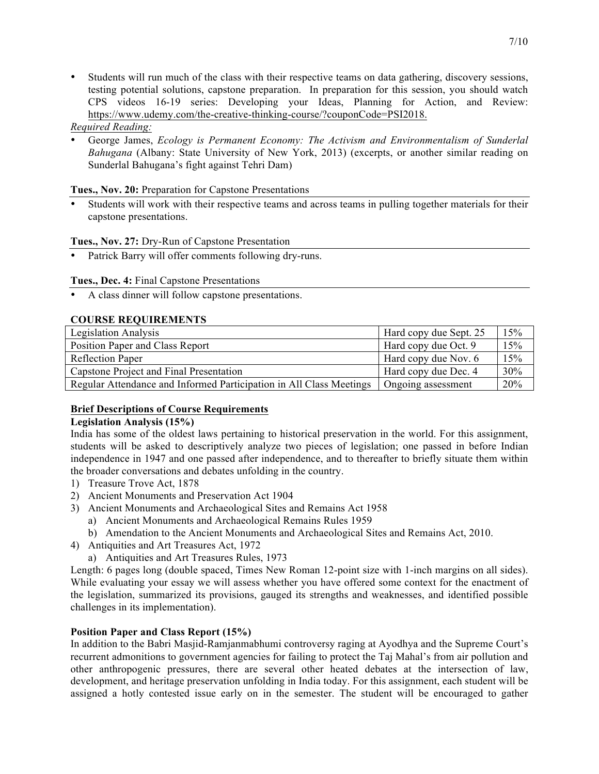• Students will run much of the class with their respective teams on data gathering, discovery sessions, testing potential solutions, capstone preparation. In preparation for this session, you should watch CPS videos 16-19 series: Developing your Ideas, Planning for Action, and Review: https://www.udemy.com/the-creative-thinking-course/?couponCode=PSI2018.

## *Required Reading:*

• George James, *Ecology is Permanent Economy: The Activism and Environmentalism of Sunderlal Bahugana* (Albany: State University of New York, 2013) (excerpts, or another similar reading on Sunderlal Bahugana's fight against Tehri Dam)

## **Tues., Nov. 20:** Preparation for Capstone Presentations

Students will work with their respective teams and across teams in pulling together materials for their capstone presentations.

## **Tues., Nov. 27:** Dry-Run of Capstone Presentation

Patrick Barry will offer comments following dry-runs.

## **Tues., Dec. 4:** Final Capstone Presentations

• A class dinner will follow capstone presentations.

## **COURSE REQUIREMENTS**

| <b>Legislation Analysis</b>                                         | Hard copy due Sept. 25 | 15% |
|---------------------------------------------------------------------|------------------------|-----|
| Position Paper and Class Report                                     | Hard copy due Oct. 9   | 15% |
| <b>Reflection Paper</b>                                             | Hard copy due Nov. 6   | 15% |
| Capstone Project and Final Presentation                             | Hard copy due Dec. 4   | 30% |
| Regular Attendance and Informed Participation in All Class Meetings | Ongoing assessment     | 20% |

## **Brief Descriptions of Course Requirements**

### **Legislation Analysis (15%)**

India has some of the oldest laws pertaining to historical preservation in the world. For this assignment, students will be asked to descriptively analyze two pieces of legislation; one passed in before Indian independence in 1947 and one passed after independence, and to thereafter to briefly situate them within the broader conversations and debates unfolding in the country.

- 1) Treasure Trove Act, 1878
- 2) Ancient Monuments and Preservation Act 1904
- 3) Ancient Monuments and Archaeological Sites and Remains Act 1958
	- a) Ancient Monuments and Archaeological Remains Rules 1959
	- b) Amendation to the Ancient Monuments and Archaeological Sites and Remains Act, 2010.
- 4) Antiquities and Art Treasures Act, 1972
	- a) Antiquities and Art Treasures Rules, 1973

Length: 6 pages long (double spaced, Times New Roman 12-point size with 1-inch margins on all sides). While evaluating your essay we will assess whether you have offered some context for the enactment of the legislation, summarized its provisions, gauged its strengths and weaknesses, and identified possible challenges in its implementation).

### **Position Paper and Class Report (15%)**

In addition to the Babri Masjid-Ramjanmabhumi controversy raging at Ayodhya and the Supreme Court's recurrent admonitions to government agencies for failing to protect the Taj Mahal's from air pollution and other anthropogenic pressures, there are several other heated debates at the intersection of law, development, and heritage preservation unfolding in India today. For this assignment, each student will be assigned a hotly contested issue early on in the semester. The student will be encouraged to gather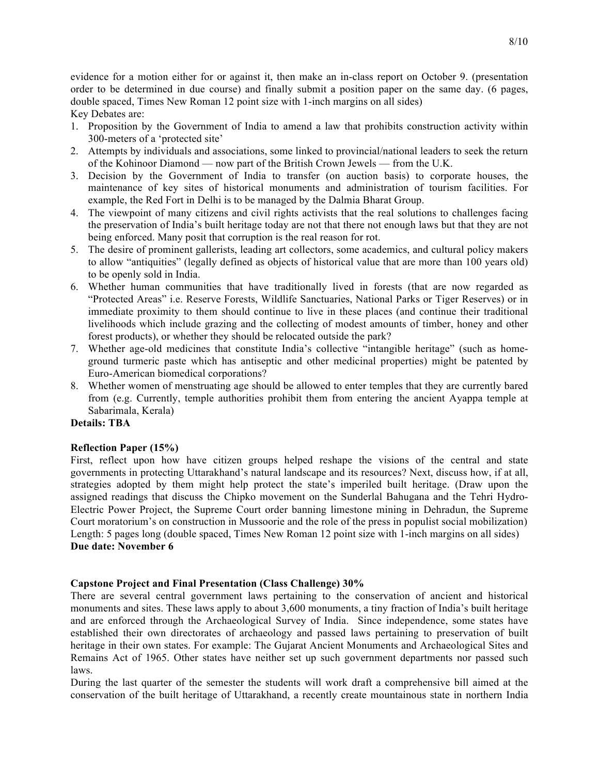evidence for a motion either for or against it, then make an in-class report on October 9. (presentation order to be determined in due course) and finally submit a position paper on the same day. (6 pages, double spaced, Times New Roman 12 point size with 1-inch margins on all sides)

Key Debates are:

- 1. Proposition by the Government of India to amend a law that prohibits construction activity within 300-meters of a 'protected site'
- 2. Attempts by individuals and associations, some linked to provincial/national leaders to seek the return of the Kohinoor Diamond –– now part of the British Crown Jewels –– from the U.K.
- 3. Decision by the Government of India to transfer (on auction basis) to corporate houses, the maintenance of key sites of historical monuments and administration of tourism facilities. For example, the Red Fort in Delhi is to be managed by the Dalmia Bharat Group.
- 4. The viewpoint of many citizens and civil rights activists that the real solutions to challenges facing the preservation of India's built heritage today are not that there not enough laws but that they are not being enforced. Many posit that corruption is the real reason for rot.
- 5. The desire of prominent gallerists, leading art collectors, some academics, and cultural policy makers to allow "antiquities" (legally defined as objects of historical value that are more than 100 years old) to be openly sold in India.
- 6. Whether human communities that have traditionally lived in forests (that are now regarded as "Protected Areas" i.e. Reserve Forests, Wildlife Sanctuaries, National Parks or Tiger Reserves) or in immediate proximity to them should continue to live in these places (and continue their traditional livelihoods which include grazing and the collecting of modest amounts of timber, honey and other forest products), or whether they should be relocated outside the park?
- 7. Whether age-old medicines that constitute India's collective "intangible heritage" (such as homeground turmeric paste which has antiseptic and other medicinal properties) might be patented by Euro-American biomedical corporations?
- 8. Whether women of menstruating age should be allowed to enter temples that they are currently bared from (e.g. Currently, temple authorities prohibit them from entering the ancient Ayappa temple at Sabarimala, Kerala)

## **Details: TBA**

### **Reflection Paper (15%)**

First, reflect upon how have citizen groups helped reshape the visions of the central and state governments in protecting Uttarakhand's natural landscape and its resources? Next, discuss how, if at all, strategies adopted by them might help protect the state's imperiled built heritage. (Draw upon the assigned readings that discuss the Chipko movement on the Sunderlal Bahugana and the Tehri Hydro-Electric Power Project, the Supreme Court order banning limestone mining in Dehradun, the Supreme Court moratorium's on construction in Mussoorie and the role of the press in populist social mobilization) Length: 5 pages long (double spaced, Times New Roman 12 point size with 1-inch margins on all sides) **Due date: November 6**

### **Capstone Project and Final Presentation (Class Challenge) 30%**

There are several central government laws pertaining to the conservation of ancient and historical monuments and sites. These laws apply to about 3,600 monuments, a tiny fraction of India's built heritage and are enforced through the Archaeological Survey of India. Since independence, some states have established their own directorates of archaeology and passed laws pertaining to preservation of built heritage in their own states. For example: The Gujarat Ancient Monuments and Archaeological Sites and Remains Act of 1965. Other states have neither set up such government departments nor passed such laws.

During the last quarter of the semester the students will work draft a comprehensive bill aimed at the conservation of the built heritage of Uttarakhand, a recently create mountainous state in northern India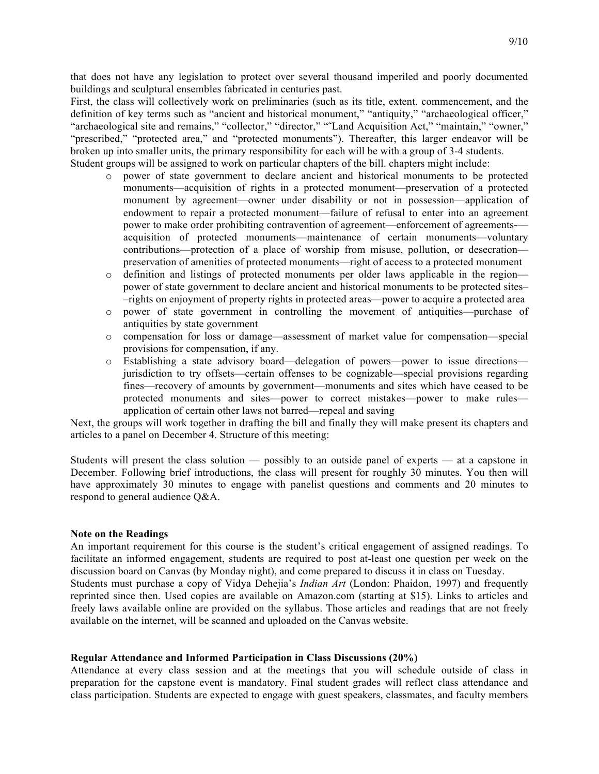that does not have any legislation to protect over several thousand imperiled and poorly documented buildings and sculptural ensembles fabricated in centuries past.

First, the class will collectively work on preliminaries (such as its title, extent, commencement, and the definition of key terms such as "ancient and historical monument," "antiquity," "archaeological officer," "archaeological site and remains," "collector," "director," "˜Land Acquisition Act," "maintain," "owner," "prescribed," "protected area," and "protected monuments"). Thereafter, this larger endeavor will be broken up into smaller units, the primary responsibility for each will be with a group of 3-4 students. Student groups will be assigned to work on particular chapters of the bill. chapters might include:

- o power of state government to declare ancient and historical monuments to be protected monuments—acquisition of rights in a protected monument––preservation of a protected monument by agreement––owner under disability or not in possession––application of endowment to repair a protected monument—failure of refusal to enter into an agreement power to make order prohibiting contravention of agreement––enforcement of agreements-–– acquisition of protected monuments––maintenance of certain monuments––voluntary contributions––protection of a place of worship from misuse, pollution, or desecration–– preservation of amenities of protected monuments––right of access to a protected monument
- o definition and listings of protected monuments per older laws applicable in the region–– power of state government to declare ancient and historical monuments to be protected sites– –rights on enjoyment of property rights in protected areas––power to acquire a protected area
- o power of state government in controlling the movement of antiquities––purchase of antiquities by state government
- o compensation for loss or damage––assessment of market value for compensation––special provisions for compensation, if any.
- o Establishing a state advisory board––delegation of powers––power to issue directions–– jurisdiction to try offsets––certain offenses to be cognizable––special provisions regarding fines––recovery of amounts by government––monuments and sites which have ceased to be protected monuments and sites––power to correct mistakes––power to make rules–– application of certain other laws not barred––repeal and saving

Next, the groups will work together in drafting the bill and finally they will make present its chapters and articles to a panel on December 4. Structure of this meeting:

Students will present the class solution –– possibly to an outside panel of experts –– at a capstone in December. Following brief introductions, the class will present for roughly 30 minutes. You then will have approximately 30 minutes to engage with panelist questions and comments and 20 minutes to respond to general audience Q&A.

#### **Note on the Readings**

An important requirement for this course is the student's critical engagement of assigned readings. To facilitate an informed engagement, students are required to post at-least one question per week on the discussion board on Canvas (by Monday night), and come prepared to discuss it in class on Tuesday. Students must purchase a copy of Vidya Dehejia's *Indian Art* (London: Phaidon, 1997) and frequently reprinted since then. Used copies are available on Amazon.com (starting at \$15). Links to articles and freely laws available online are provided on the syllabus. Those articles and readings that are not freely available on the internet, will be scanned and uploaded on the Canvas website.

#### **Regular Attendance and Informed Participation in Class Discussions (20%)**

Attendance at every class session and at the meetings that you will schedule outside of class in preparation for the capstone event is mandatory. Final student grades will reflect class attendance and class participation. Students are expected to engage with guest speakers, classmates, and faculty members